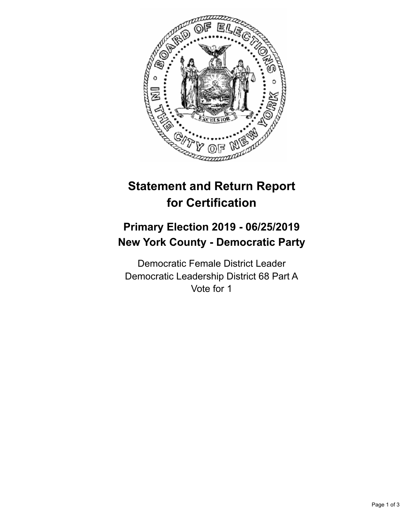

## **Statement and Return Report for Certification**

## **Primary Election 2019 - 06/25/2019 New York County - Democratic Party**

Democratic Female District Leader Democratic Leadership District 68 Part A Vote for 1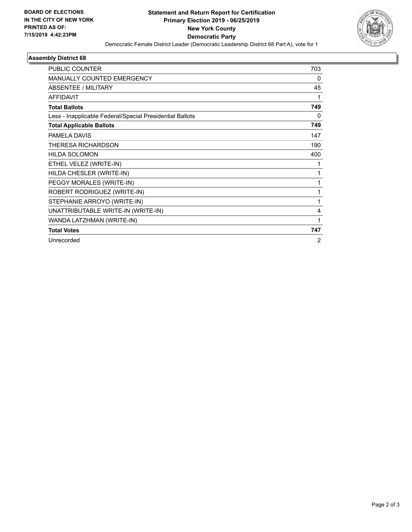

## **Assembly District 68**

| PUBLIC COUNTER                                           | 703 |
|----------------------------------------------------------|-----|
| <b>MANUALLY COUNTED EMERGENCY</b>                        | 0   |
| <b>ABSENTEE / MILITARY</b>                               | 45  |
| <b>AFFIDAVIT</b>                                         | 1   |
| <b>Total Ballots</b>                                     | 749 |
| Less - Inapplicable Federal/Special Presidential Ballots | 0   |
| <b>Total Applicable Ballots</b>                          | 749 |
| PAMELA DAVIS                                             | 147 |
| <b>THERESA RICHARDSON</b>                                | 190 |
| <b>HILDA SOLOMON</b>                                     | 400 |
| ETHEL VELEZ (WRITE-IN)                                   | 1   |
| HILDA CHESLER (WRITE-IN)                                 | 1   |
| PEGGY MORALES (WRITE-IN)                                 | 1   |
| ROBERT RODRIGUEZ (WRITE-IN)                              | 1   |
| STEPHANIE ARROYO (WRITE-IN)                              | 1   |
| UNATTRIBUTABLE WRITE-IN (WRITE-IN)                       | 4   |
| WANDA LATZHMAN (WRITE-IN)                                | 1   |
| <b>Total Votes</b>                                       | 747 |
| Unrecorded                                               | 2   |
|                                                          |     |